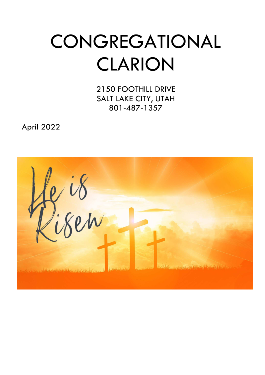# **CONGREGATIONAL** CLARION

2150 FOOTHILL DRIVE SALT LAKE CITY, UTAH 801-487-1357

April 2022

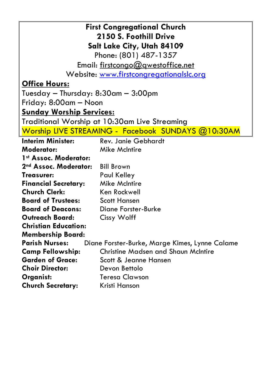| <b>First Congregational Church</b><br>2150 S. Foothill Drive |                                                    |  |  |  |  |  |
|--------------------------------------------------------------|----------------------------------------------------|--|--|--|--|--|
| Salt Lake City, Utah 84109                                   |                                                    |  |  |  |  |  |
|                                                              |                                                    |  |  |  |  |  |
|                                                              | Phone: (801) 487-1357                              |  |  |  |  |  |
|                                                              | Email: firstcongo@gwestoffice.net                  |  |  |  |  |  |
|                                                              | Website: <u>www.firstcongregationalslc.org</u>     |  |  |  |  |  |
| <u>Office Hours:</u>                                         |                                                    |  |  |  |  |  |
| Tuesday – Thursday: 8:30am – 3:00pm                          |                                                    |  |  |  |  |  |
| Friday: 8:00am — Noon                                        |                                                    |  |  |  |  |  |
| <u><b>Sunday Worship Services:</b></u>                       |                                                    |  |  |  |  |  |
|                                                              | Traditional Worship at 10:30am Live Streaming      |  |  |  |  |  |
|                                                              | Worship LIVE STREAMING - Facebook SUNDAYS @10:30AM |  |  |  |  |  |
| <b>Interim Minister:</b>                                     | <b>Rev. Janie Gebhardt</b>                         |  |  |  |  |  |
| <b>Moderator:</b>                                            | <b>Mike McIntire</b>                               |  |  |  |  |  |
| 1st Assoc. Moderator:                                        |                                                    |  |  |  |  |  |
| 2nd Assoc. Moderator:                                        | <b>Bill Brown</b>                                  |  |  |  |  |  |
| Treasurer:                                                   | Paul Kelley                                        |  |  |  |  |  |
| <b>Mike McIntire</b><br><b>Financial Secretary:</b>          |                                                    |  |  |  |  |  |
| <b>Church Clerk:</b>                                         | Ken Rockwell                                       |  |  |  |  |  |
| <b>Board of Trustees:</b>                                    | <b>Scott Hansen</b>                                |  |  |  |  |  |
| <b>Board of Deacons:</b><br>Diane Forster-Burke              |                                                    |  |  |  |  |  |
| <b>Outreach Board:</b>                                       | Cissy Wolff                                        |  |  |  |  |  |
| <b>Christian Education:</b>                                  |                                                    |  |  |  |  |  |
| <b>Membership Board:</b>                                     |                                                    |  |  |  |  |  |
| <b>Parish Nurses:</b>                                        | Diane Forster-Burke, Marge Kimes, Lynne Calame     |  |  |  |  |  |
| <b>Camp Fellowship:</b>                                      | <b>Christine Madsen and Shaun McIntire</b>         |  |  |  |  |  |
| <b>Garden of Grace:</b>                                      | Scott & Jeanne Hansen                              |  |  |  |  |  |
| <b>Choir Director:</b>                                       | Devon Bettolo                                      |  |  |  |  |  |
| Organist:                                                    | <b>Teresa Clawson</b>                              |  |  |  |  |  |
| <b>Church Secretary:</b><br>Kristi Hanson                    |                                                    |  |  |  |  |  |
|                                                              |                                                    |  |  |  |  |  |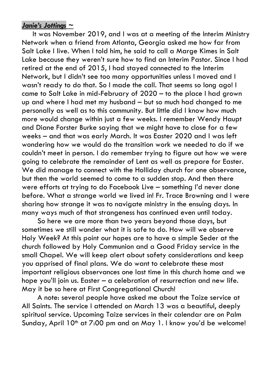## *Janie's Jottings ~*

 It was November 2019, and I was at a meeting of the Interim Ministry Network when a friend from Atlanta, Georgia asked me how far from Salt Lake I live. When I told him, he said to call a Marge Kimes in Salt Lake because they weren't sure how to find an Interim Pastor. Since I had retired at the end of 2015, I had stayed connected to the Interim Network, but I didn't see too many opportunities unless I moved and I wasn't ready to do that. So I made the call. That seems so long ago! I came to Salt Lake in mid-February of 2020 – to the place I had grown up and where I had met my husband – but so much had changed to me personally as well as to this community. But little did I know how much more would change within just a few weeks. I remember Wendy Haupt and Diane Forster Burke saying that we might have to close for a few weeks – and that was early March. It was Easter 2020 and I was left wondering how we would do the transition work we needed to do if we couldn't meet in person. I do remember trying to figure out how we were going to celebrate the remainder of Lent as well as prepare for Easter. We did manage to connect with the Holliday church for one observance, but then the world seemed to come to a sudden stop. And then there were efforts at trying to do Facebook Live – something I'd never done before. What a strange world we lived in! Fr. Trace Browning and I were sharing how strange it was to navigate ministry in the ensuing days. In many ways much of that strangeness has continued even until today.

 So here we are more than two years beyond those days, but sometimes we still wonder what it is safe to do. How will we observe Holy Week? At this point our hopes are to have a simple Seder at the church followed by Holy Communion and a Good Friday service in the small Chapel. We will keep alert about safety considerations and keep you apprised of final plans. We do want to celebrate these most important religious observances one last time in this church home and we hope you'll join us. Easter – a celebration of resurrection and new life. May it be so here at First Congregational Church!

 A note: several people have asked me about the Taize service at All Saints. The service I attended on March 13 was a beautiful, deeply spiritual service. Upcoming Taize services in their calendar are on Palm Sunday, April 10<sup>th</sup> at 7:00 pm and on May 1. I know you'd be welcome!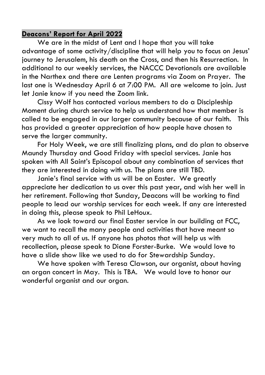### **Deacons' Report for April 2022**

 We are in the midst of Lent and I hope that you will take advantage of some activity/discipline that will help you to focus on Jesus' journey to Jerusalem, his death on the Cross, and then his Resurrection. In additional to our weekly services, the NACCC Devotionals are available in the Narthex and there are Lenten programs via Zoom on Prayer. The last one is Wednesday April 6 at 7:00 PM. All are welcome to join. Just let Janie know if you need the Zoom link.

 Cissy Wolf has contacted various members to do a Discipleship Moment during church service to help us understand how that member is called to be engaged in our larger community because of our faith. This has provided a greater appreciation of how people have chosen to serve the larger community.

 For Holy Week, we are still finalizing plans, and do plan to observe Maundy Thursday and Good Friday with special services. Janie has spoken with All Saint's Episcopal about any combination of services that they are interested in doing with us. The plans are still TBD.

 Janie's final service with us will be on Easter. We greatly appreciate her dedication to us over this past year, and wish her well in her retirement. Following that Sunday, Deacons will be working to find people to lead our worship services for each week. If any are interested in doing this, please speak to Phil LeHoux.

 As we look toward our final Easter service in our building at FCC, we want to recall the many people and activities that have meant so very much to all of us. If anyone has photos that will help us with recollection, please speak to Diane Forster-Burke. We would love to have a slide show like we used to do for Stewardship Sunday.

 We have spoken with Teresa Clawson, our organist, about having an organ concert in May. This is TBA. We would love to honor our wonderful organist and our organ.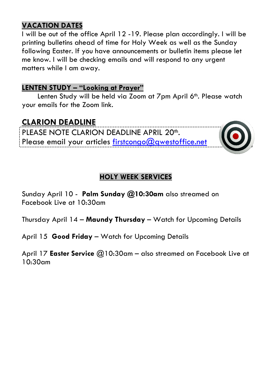## **VACATION DATES**

I will be out of the office April 12 -19. Please plan accordingly. I will be printing bulletins ahead of time for Holy Week as well as the Sunday following Easter. If you have announcements or bulletin items please let me know. I will be checking emails and will respond to any urgent matters while I am away.

## **LENTEN STUDY – "Looking at Prayer"**

Lenten Study will be held via Zoom at 7pm April 6<sup>th</sup>. Please watch your emails for the Zoom link.

# **CLARION DEADLINE**

PLEASE NOTE CLARION DEADLINE APRIL 20<sup>th</sup>. Please email your articles firstcongo@qwestoffice.net



## **HOLY WEEK SERVICES**

Sunday April 10 - **Palm Sunday @10:30am** also streamed on Facebook Live at 10:30am

Thursday April 14 – **Maundy Thursday** – Watch for Upcoming Details

April 15 **Good Friday** – Watch for Upcoming Details

April 17 **Easter Service** @10:30am – also streamed on Facebook Live at 10:30am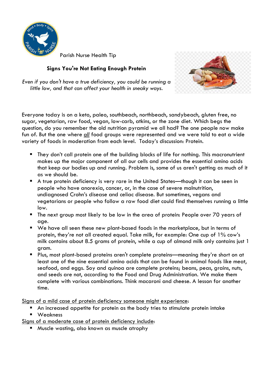

Parish Nurse Health Tip

#### **Signs You're Not Eating Enough Protein**



*Even if you don't have a true deficiency, you could be running a little low, and that can affect your health in sneaky ways.* 

Everyone today is on a keto, paleo, southbeach, northbeach, sandybeach, gluten free, no sugar, vegetarian, raw food, vegan, low-carb, atkins, or the zone diet. Which begs the question, do you remember the old nutrition pyramid we all had? The one people now make fun of. But the one where *all* food groups were represented and we were told to eat a wide variety of foods in moderation from each level. Today's discussion: Protein.

- They don't call protein one of the building blocks of life for nothing. This macronutrient makes up the major component of all our cells and provides the essential amino acids that keep our bodies up and running. Problem is, some of us aren't getting as much of it as we should be.
- A true protein deficiency is very rare in the United States—though it can be seen in people who have anorexia, cancer, or, in the case of severe malnutrition, undiagnosed Crohn's disease and celiac disease. But sometimes, vegans and vegetarians or people who follow a raw food diet could find themselves running a little low.
- The next group most likely to be low in the area of protein: People over 70 years of age.
- We have all seen these new plant-based foods in the marketplace, but in terms of protein, they're not all created equal. Take milk, for example: One cup of 1% cow's milk contains about 8.5 grams of protein, while a cup of almond milk only contains just 1 gram.
- Plus, most plant-based proteins aren't complete proteins—meaning they're short on at least one of the nine essential amino acids that can be found in animal foods like meat, seafood, and eggs. Soy and quinoa are complete proteins; beans, peas, grains, nuts, and seeds are not, according to the Food and Drug Administration. We make them complete with various combinations. Think macaroni and cheese. A lesson for another time.

Signs of a mild case of protein deficiency someone might experience:

- An increased appetite for protein as the body tries to stimulate protein intake
- **Neakness**

Signs of a moderate case of protein deficiency include:

**Muscle wasting, also known as muscle atrophy**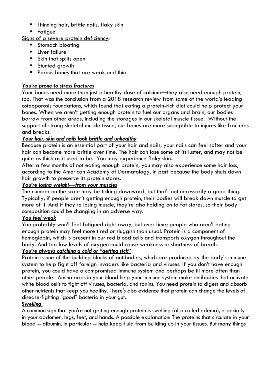- **Thinning hair, brittle nails, flaky skin**
- **Fatigue**

Signs of a severe protein deficiency:

- **Stomach bloating**
- **Liver failure**
- **Skin that splits open**
- **Stunted arowth**
- **Porous bones that are weak and thin**

#### *You're prone to stress fractures*

Your bones need more than just a healthy dose of calcium—they also need enough protein, too. That was the conclusion from a 2018 research review from some of the world's leading osteoporosis foundations, which found that eating a protein-rich diet could help protect your bones. When we aren't getting enough protein to fuel our organs and brain, our bodies borrow from other areas, including the storages in our skeletal muscle tissue. Without the support of strong skeletal muscle tissue, our bones are more susceptible to injures like fractures and breaks.

#### *Your hair, skin and nails look brittle and unhealthy*

Because protein is an essential part of your hair and nails, your nails can feel softer and your hair can become more brittle over time. The hair can lose some of its luster, and may not be quite as thick as it used to be. You may experience flaky skin.

After a few months of not eating enough protein, you may also experience some hair loss, according to the American Academy of Dermatology, in part because the body shuts down hair growth to preserve its protein stores.

#### *You're losing weight—from your muscles*

The number on the scale may be ticking downward, but that's not necessarily a good thing. Typically, if people aren't getting enough protein, their bodies will break down muscle to get more of it. And if they're losing muscle, they're also holding on to fat stores, so their body composition could be changing in an adverse way.

#### *You feel weak*

You probably won't feel fatigued right away, but over time; people who aren't eating enough protein may feel more tired or sluggish than usual. Protein is a component of hemoglobin, which is present in our red blood cells and transports oxygen throughout the body. And too-low levels of oxygen could cause weakness or shortness of breath.

#### *You're always catching a cold or "getting sick"*

Protein is one of the building blocks of antibodies, which are produced by the body's immune system to help fight off foreign invaders like bacteria and viruses. If you don't have enough protein, you could have a compromised immune system and perhaps be ill more often than other people. Amino acids in your blood help your immune system make antibodies that activate white blood cells to fight off viruses, bacteria, and toxins. You need protein to digest and absorb other nutrients that keep you healthy. There's also evidence that protein can change the levels of disease-fighting "good" bacteria in your gut.

#### *Swelling*

A common sign that you're not getting enough protein is swelling (also called edema), especially in your abdomen, legs, feet, and hands. A possible explanation: The proteins that circulate in your blood -- albumin, in particular -- help keep fluid from building up in your tissues. But many things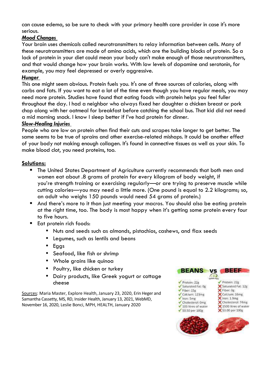can cause edema, so be sure to check with your primary health care provider in case it's more serious.

#### *Mood Changes*

Your brain uses chemicals called neurotransmitters to relay information between cells. Many of these neurotransmitters are made of amino acids, which are the building blocks of protein. So a lack of protein in your diet could mean your body can't make enough of those neurotransmitters, and that would change how your brain works. With low levels of dopamine and serotonin, for example, you may feel depressed or overly aggressive.

#### *Hunger*

This one might seem obvious. Protein fuels you. It's one of three sources of calories, along with carbs and fats. If you want to eat a lot of the time even though you have regular meals, you may need more protein. Studies have found that eating foods with protein helps you feel fuller throughout the day. I had a neighbor who always fixed her daughter a chicken breast or pork chop along with her oatmeal for breakfast before catching the school bus. That kid did not need a mid morning snack. I know I sleep better if I've had protein for dinner.

#### *Slow-Healing Injuries*

People who are low on protein often find their cuts and scrapes take longer to get better. The same seems to be true of sprains and other exercise-related mishaps. It could be another effect of your body not making enough collagen. It's found in connective tissues as well as your skin. To make blood clot, you need proteins, too.

#### **Solutions:**

- The United States Department of Agriculture currently recommends that both men and women eat about .8 grams of protein for every kilogram of body weight, if you're strength training or exercising regularly—or are trying to preserve muscle while cutting calories—you may need a little more. (One pound is equal to 2.2 kilograms; so, an adult who weighs 150 pounds would need 54 grams of protein.)
- And there's more to it than just meeting your macros. You should also be eating protein at the right time, too. The body is most happy when it's getting some protein every four to five hours.
- Eat protein rich foods:
	- Nuts and seeds such as almonds, pistachios, cashews, and flax seeds
	- Legumes, such as lentils and beans
	- Eggs
	- Seafood, like fish or shrimp
	- Whole grains like quinoa
	- Poultry, like chicken or turkey
	- Dairy products, like Greek yogurt or cottage cheese

Sources: Maria Master, Explore Health, January 23, 2020, Erin Heger and Samantha Cassetty, MS, RD, Insider Health, January 13, 2021, WebMD, November 16, 2020, Leslie Bonci, MPH, HEALTH, January 2020

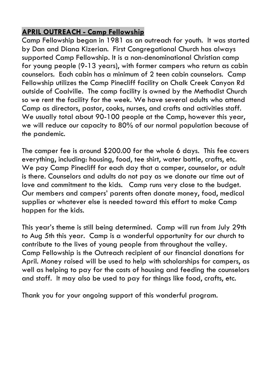## **APRIL OUTREACH - Camp Fellowship**

Camp Fellowship began in 1981 as an outreach for youth. It was started by Dan and Diana Kizerian. First Congregational Church has always supported Camp Fellowship. It is a non-denominational Christian camp for young people (9-13 years), with former campers who return as cabin counselors. Each cabin has a minimum of 2 teen cabin counselors. Camp Fellowship utilizes the Camp Pinecliff facility on Chalk Creek Canyon Rd outside of Coalville. The camp facility is owned by the Methodist Church so we rent the facility for the week. We have several adults who attend Camp as directors, pastor, cooks, nurses, and crafts and activities staff. We usually total about 90-100 people at the Camp, however this year, we will reduce our capacity to 80% of our normal population because of the pandemic.

The camper fee is around \$200.00 for the whole 6 days. This fee covers everything, including: housing, food, tee shirt, water bottle, crafts, etc. We pay Camp Pinecliff for each day that a camper, counselor, or adult is there. Counselors and adults do not pay as we donate our time out of love and commitment to the kids. Camp runs very close to the budget. Our members and campers' parents often donate money, food, medical supplies or whatever else is needed toward this effort to make Camp happen for the kids.

This year's theme is still being determined. Camp will run from July 29th to Aug 5th this year. Camp is a wonderful opportunity for our church to contribute to the lives of young people from throughout the valley. Camp Fellowship is the Outreach recipient of our financial donations for April. Money raised will be used to help with scholarships for campers, as well as helping to pay for the costs of housing and feeding the counselors and staff. It may also be used to pay for things like food, crafts, etc.

Thank you for your ongoing support of this wonderful program.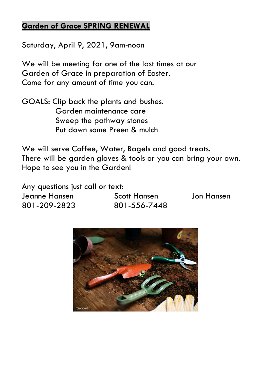## **Garden of Grace SPRING RENEWAL**

Saturday, April 9, 2021, 9am-noon

We will be meeting for one of the last times at our Garden of Grace in preparation of Easter. Come for any amount of time you can.

GOALS: Clip back the plants and bushes. Garden maintenance care Sweep the pathway stones Put down some Preen & mulch

We will serve Coffee, Water, Bagels and good treats. There will be garden gloves & tools or you can bring your own. Hope to see you in the Garden!

Any questions just call or text: Jeanne Hansen Scott Hansen Jon Hansen 801-209-2823 801-556-7448

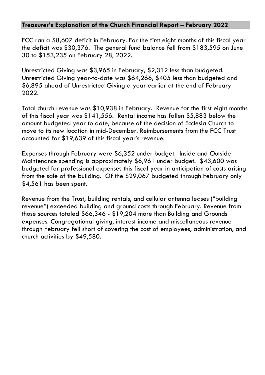#### **Treasurer's Explanation of the Church Financial Report – February 2022**

FCC ran a \$8,607 deficit in February. For the first eight months of this fiscal year the deficit was \$30,376. The general fund balance fell from \$183,595 on June 30 to \$153,235 on February 28, 2022.

Unrestricted Giving was \$3,965 in February, \$2,312 less than budgeted. Unrestricted Giving year-to-date was \$64,266, \$405 less than budgeted and \$6,895 ahead of Unrestricted Giving a year earlier at the end of February 2022.

Total church revenue was \$10,938 in February. Revenue for the first eight months of this fiscal year was \$141,556. Rental income has fallen \$5,883 below the amount budgeted year to date, because of the decision of Ecclesia Church to move to its new location in mid-December. Reimbursements from the FCC Trust accounted for \$19,639 of this fiscal year's revenue.

Expenses through February were \$6,352 under budget. Inside and Outside Maintenance spending is approximately \$6,961 under budget. \$43,600 was budgeted for professional expenses this fiscal year in anticipation of costs arising from the sale of the building. Of the \$29,067 budgeted through February only \$4,561 has been spent.

Revenue from the Trust, building rentals, and cellular antenna leases ("building revenue") exceeded building and ground costs through February. Revenue from those sources totaled \$66,346 - \$19,204 more than Building and Grounds expenses. Congregational giving, interest income and miscellaneous revenue through February fell short of covering the cost of employees, administration, and church activities by \$49,580.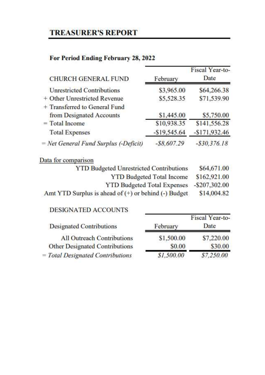# **TREASURER'S REPORT**

## For Period Ending February 28, 2022

| <b>CHURCH GENERAL FUND</b>            | February       | Fiscal Year-to-<br>Date |  |
|---------------------------------------|----------------|-------------------------|--|
| <b>Unrestricted Contributions</b>     | \$3,965.00     | \$64,266.38             |  |
| + Other Unrestricted Revenue          | \$5,528.35     | \$71,539.90             |  |
| + Transferred to General Fund         |                |                         |  |
| from Designated Accounts              | \$1,445.00     | \$5,750.00              |  |
| $=$ Total Income                      | \$10,938.35    | \$141,556.28            |  |
| <b>Total Expenses</b>                 | $-$19,545.64$  | $-$171,932.46$          |  |
| = Net General Fund Surplus (-Deficit) | $-$ \$8,607.29 | $- $30, 376.18$         |  |

## Data for comparison

| <b>YTD Budgeted Unrestricted Contributions</b>           | \$64,671.00  |
|----------------------------------------------------------|--------------|
| <b>YTD Budgeted Total Income</b>                         | \$162,921.00 |
| YTD Budgeted Total Expenses -\$207,302.00                |              |
| Amt YTD Surplus is ahead of $(+)$ or behind $(-)$ Budget | \$14,004.82  |

#### DESIGNATED ACCOUNTS

| 19 HALL OF LEWIS CONTROL AND DESCRIPTION AND RESIDENCE OF A STATE OF THE STATE OF THE STATE OF THE STATE OF TH |            | Fiscal Year-to- |  |
|----------------------------------------------------------------------------------------------------------------|------------|-----------------|--|
| <b>Designated Contributions</b>                                                                                | February   | Date            |  |
| All Outreach Contributions                                                                                     | \$1,500.00 | \$7,220.00      |  |
| Other Designated Contributions                                                                                 | \$0.00     | \$30.00         |  |
| = Total Designated Contributions                                                                               | \$1,500.00 | \$7,250.00      |  |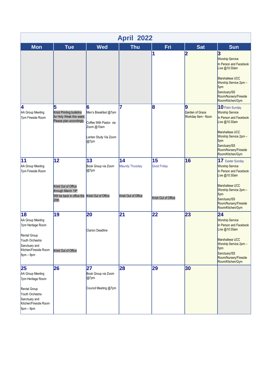| <b>April 2022</b>                                                                                                                     |                                                                                        |                                                                                                    |                                               |                                                  |                                            |                                                                                                                                                                                                                   |  |  |  |
|---------------------------------------------------------------------------------------------------------------------------------------|----------------------------------------------------------------------------------------|----------------------------------------------------------------------------------------------------|-----------------------------------------------|--------------------------------------------------|--------------------------------------------|-------------------------------------------------------------------------------------------------------------------------------------------------------------------------------------------------------------------|--|--|--|
| <b>Mon</b>                                                                                                                            | <b>Tue</b>                                                                             | <b>Wed</b>                                                                                         | <b>Thu</b>                                    | Fri                                              | Sat                                        | <b>Sun</b>                                                                                                                                                                                                        |  |  |  |
|                                                                                                                                       |                                                                                        |                                                                                                    |                                               | 1                                                | 2                                          | 3<br><b>Worship Service</b><br>In Person and Facebook<br>Live @10:30am<br>Marshallese UCC<br>Worship Service 2pm -<br>5 <sub>pm</sub><br>Sanctuary/SS<br>Room/Nursery/Fireside<br>Room/Kitchen/Gym                |  |  |  |
| 4<br>AA Group Meeting<br>7pm Fireside Room                                                                                            | 5<br>Kristi Printing bulletins<br>for Holy Week this week.<br>Please plan accordingly  | 6<br>Men's Breakfast @7am<br>Coffee With Pastor via<br>Zoom @10am<br>Lenten Study Via Zoom<br>@7pm | 7                                             | 8                                                | 9<br>Garden of Grace<br>Workday 9am - Noon | 10 Palm Sunday<br><b>Worship Service</b><br>In Person and Facebook<br>Live @10:30am<br>Marshallese UCC<br>Worship Service 2pm -<br>5 <sub>pm</sub><br>Sanctuary/SS<br>Room/Nursery/Fireside<br>Room/Kitchen/Gym   |  |  |  |
| 11<br>AA Group Meeting<br>7pm Fireside Room                                                                                           | 12<br>Kristi Out of Office<br>through March 19th<br>Will be back in office the<br>20th | 13<br>Book Group via Zoom<br>@7pm<br>Kristi Out of Office                                          | 14<br>Maundy Thursday<br>Kristi Out of Office | 15<br><b>Good Friday</b><br>Kristi Out of Office | 16                                         | 17 Easter Sunday<br><b>Worship Service</b><br>In Person and Facebook<br>Live @10:30am<br>Marshallese UCC<br>Worship Service 2pm -<br>5 <sub>pm</sub><br>Sanctuary/SS<br>Room/Nursery/Fireside<br>Room/Kitchen/Gym |  |  |  |
| 18<br>AA Group Meeting<br>7pm Heritage Room<br>Rental Group<br>Youth Orchestra<br>Sanctuary and<br>Kitchen/Fireside Room<br>5pm - 9pm | 19<br>Kristi Out of Office                                                             | 20<br><b>Clarion Deadline</b>                                                                      | 21                                            | 22                                               | 23                                         | 24<br><b>Worship Service</b><br>In Person and Facebook<br>Live @10:30am<br>Marshallese UCC<br>Worship Service 2pm -<br>5 <sub>pm</sub><br>Sanctuary/SS<br>Room/Nursery/Fireside<br>Room/Kitchen/Gym               |  |  |  |
| 25<br>AA Group Meeting<br>7pm Heritage Room<br>Rental Group<br>Youth Orchestra<br>Sanctuary and<br>Kitchen/Fireside Room<br>5pm - 9pm | 26                                                                                     | 27<br>Book Group via Zoom<br>@7pm<br>Council Meeting @7pm                                          | 28                                            | 29                                               | 30                                         |                                                                                                                                                                                                                   |  |  |  |